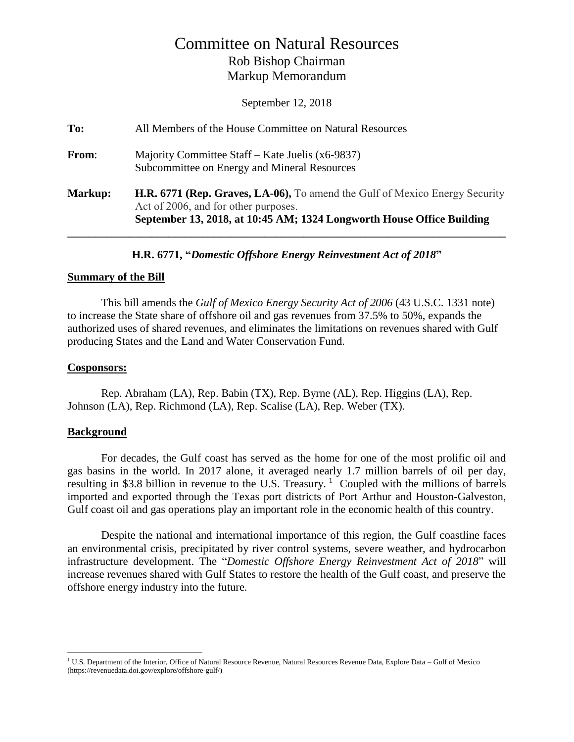# Committee on Natural Resources Rob Bishop Chairman Markup Memorandum

September 12, 2018

| To:     | All Members of the House Committee on Natural Resources                                                                                                                                      |
|---------|----------------------------------------------------------------------------------------------------------------------------------------------------------------------------------------------|
| From:   | Majority Committee Staff – Kate Juelis (x6-9837)<br>Subcommittee on Energy and Mineral Resources                                                                                             |
| Markup: | H.R. 6771 (Rep. Graves, LA-06), To amend the Gulf of Mexico Energy Security<br>Act of 2006, and for other purposes.<br>September 13, 2018, at 10:45 AM; 1324 Longworth House Office Building |

**H.R. 6771, "***Domestic Offshore Energy Reinvestment Act of 2018***"**

### **Summary of the Bill**

This bill amends the *Gulf of Mexico Energy Security Act of 2006* (43 U.S.C. 1331 note) to increase the State share of offshore oil and gas revenues from 37.5% to 50%, expands the authorized uses of shared revenues, and eliminates the limitations on revenues shared with Gulf producing States and the Land and Water Conservation Fund.

## **Cosponsors:**

Rep. Abraham (LA), Rep. Babin (TX), Rep. Byrne (AL), Rep. Higgins (LA), Rep. Johnson (LA), Rep. Richmond (LA), Rep. Scalise (LA), Rep. Weber (TX).

## **Background**

 $\overline{a}$ 

For decades, the Gulf coast has served as the home for one of the most prolific oil and gas basins in the world. In 2017 alone, it averaged nearly 1.7 million barrels of oil per day, resulting in \$3.8 billion in revenue to the U.S. Treasury.<sup>1</sup> Coupled with the millions of barrels imported and exported through the Texas port districts of Port Arthur and Houston-Galveston, Gulf coast oil and gas operations play an important role in the economic health of this country.

Despite the national and international importance of this region, the Gulf coastline faces an environmental crisis, precipitated by river control systems, severe weather, and hydrocarbon infrastructure development. The "*Domestic Offshore Energy Reinvestment Act of 2018*" will increase revenues shared with Gulf States to restore the health of the Gulf coast, and preserve the offshore energy industry into the future.

<sup>&</sup>lt;sup>1</sup> U.S. Department of the Interior, Office of Natural Resource Revenue, Natural Resources Revenue Data, Explore Data – Gulf of Mexico (https://revenuedata.doi.gov/explore/offshore-gulf/)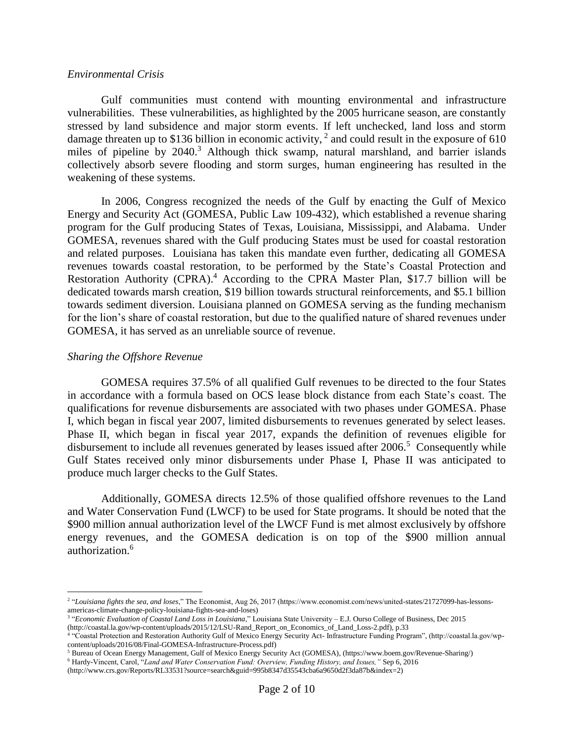#### *Environmental Crisis*

Gulf communities must contend with mounting environmental and infrastructure vulnerabilities. These vulnerabilities, as highlighted by the 2005 hurricane season, are constantly stressed by land subsidence and major storm events. If left unchecked, land loss and storm damage threaten up to \$136 billion in economic activity,  $2$  and could result in the exposure of 610 miles of pipeline by 2040.<sup>3</sup> Although thick swamp, natural marshland, and barrier islands collectively absorb severe flooding and storm surges, human engineering has resulted in the weakening of these systems.

In 2006, Congress recognized the needs of the Gulf by enacting the Gulf of Mexico Energy and Security Act (GOMESA, Public Law 109-432), which established a revenue sharing program for the Gulf producing States of Texas, Louisiana, Mississippi, and Alabama. Under GOMESA, revenues shared with the Gulf producing States must be used for coastal restoration and related purposes. Louisiana has taken this mandate even further, dedicating all GOMESA revenues towards coastal restoration, to be performed by the State's Coastal Protection and Restoration Authority (CPRA).<sup>4</sup> According to the CPRA Master Plan, \$17.7 billion will be dedicated towards marsh creation, \$19 billion towards structural reinforcements, and \$5.1 billion towards sediment diversion. Louisiana planned on GOMESA serving as the funding mechanism for the lion's share of coastal restoration, but due to the qualified nature of shared revenues under GOMESA, it has served as an unreliable source of revenue.

#### *Sharing the Offshore Revenue*

 $\overline{a}$ 

GOMESA requires 37.5% of all qualified Gulf revenues to be directed to the four States in accordance with a formula based on OCS lease block distance from each State's coast. The qualifications for revenue disbursements are associated with two phases under GOMESA. Phase I, which began in fiscal year 2007, limited disbursements to revenues generated by select leases. Phase II, which began in fiscal year 2017, expands the definition of revenues eligible for disbursement to include all revenues generated by leases issued after 2006.<sup>5</sup> Consequently while Gulf States received only minor disbursements under Phase I, Phase II was anticipated to produce much larger checks to the Gulf States.

Additionally, GOMESA directs 12.5% of those qualified offshore revenues to the Land and Water Conservation Fund (LWCF) to be used for State programs. It should be noted that the \$900 million annual authorization level of the LWCF Fund is met almost exclusively by offshore energy revenues, and the GOMESA dedication is on top of the \$900 million annual authorization.<sup>6</sup>

<sup>2</sup> "*Louisiana fights the sea, and loses*," The Economist, Aug 26, 2017 (https://www.economist.com/news/united-states/21727099-has-lessonsamericas-climate-change-policy-louisiana-fights-sea-and-loses)

<sup>3</sup> "*Economic Evaluation of Coastal Land Loss in Louisiana*," Louisiana State University – E.J. Ourso College of Business, Dec 2015 (http://coastal.la.gov/wp-content/uploads/2015/12/LSU-Rand\_Report\_on\_Economics\_of\_Land\_Loss-2.pdf), p.33<br><sup>4</sup> "Coastal Protection and Restoration Authority Gulf of Mexico Energy Security Act- Infrastructure Funding Program"

content/uploads/2016/08/Final-GOMESA-Infrastructure-Process.pdf)

<sup>5</sup> Bureau of Ocean Energy Management, Gulf of Mexico Energy Security Act (GOMESA), (https://www.boem.gov/Revenue-Sharing/)

<sup>6</sup> Hardy-Vincent, Carol, "*Land and Water Conservation Fund: Overview, Funding History, and Issues,"* Sep 6, 2016

<sup>(</sup>http://www.crs.gov/Reports/RL33531?source=search&guid=995b8347d35543cba6a9650d2f3da87b&index=2)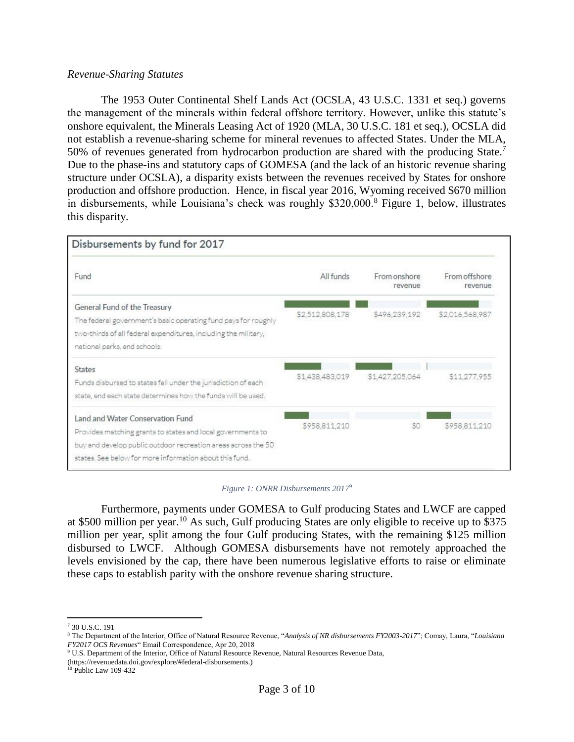### *Revenue-Sharing Statutes*

The 1953 Outer Continental Shelf Lands Act (OCSLA, 43 U.S.C. 1331 et seq.) governs the management of the minerals within federal offshore territory. However, unlike this statute's onshore equivalent, the Minerals Leasing Act of 1920 (MLA, 30 U.S.C. 181 et seq.), OCSLA did not establish a revenue-sharing scheme for mineral revenues to affected States. Under the MLA, 50% of revenues generated from hydrocarbon production are shared with the producing State.<sup>7</sup> Due to the phase-ins and statutory caps of GOMESA (and the lack of an historic revenue sharing structure under OCSLA), a disparity exists between the revenues received by States for onshore production and offshore production. Hence, in fiscal year 2016, Wyoming received \$670 million in disbursements, while Louisiana's check was roughly \$320,000.<sup>8</sup> Figure 1, below, illustrates this disparity.



#### *Figure 1: ONRR Disbursements 2017<sup>9</sup>*

Furthermore, payments under GOMESA to Gulf producing States and LWCF are capped at \$500 million per year.<sup>10</sup> As such, Gulf producing States are only eligible to receive up to \$375 million per year, split among the four Gulf producing States, with the remaining \$125 million disbursed to LWCF. Although GOMESA disbursements have not remotely approached the levels envisioned by the cap, there have been numerous legislative efforts to raise or eliminate these caps to establish parity with the onshore revenue sharing structure.

 $\overline{a}$ 

<sup>7</sup> 30 U.S.C. 191

<sup>8</sup> The Department of the Interior, Office of Natural Resource Revenue, "*Analysis of NR disbursements FY2003-2017*"; Comay, Laura, "*Louisiana FY2017 OCS Revenues*" Email Correspondence, Apr 20, 2018

<sup>9</sup> U.S. Department of the Interior, Office of Natural Resource Revenue, Natural Resources Revenue Data,

<sup>(</sup>https://revenuedata.doi.gov/explore/#federal-disbursements.)

<sup>10</sup> Public Law 109-432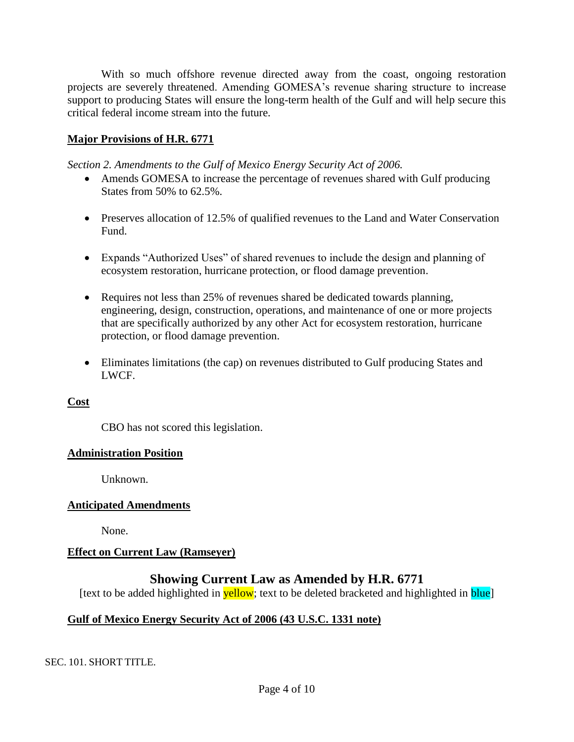With so much offshore revenue directed away from the coast, ongoing restoration projects are severely threatened. Amending GOMESA's revenue sharing structure to increase support to producing States will ensure the long-term health of the Gulf and will help secure this critical federal income stream into the future.

# **Major Provisions of H.R. 6771**

*Section 2. Amendments to the Gulf of Mexico Energy Security Act of 2006.*

- Amends GOMESA to increase the percentage of revenues shared with Gulf producing States from 50% to 62.5%.
- Preserves allocation of 12.5% of qualified revenues to the Land and Water Conservation Fund.
- Expands "Authorized Uses" of shared revenues to include the design and planning of ecosystem restoration, hurricane protection, or flood damage prevention.
- Requires not less than 25% of revenues shared be dedicated towards planning, engineering, design, construction, operations, and maintenance of one or more projects that are specifically authorized by any other Act for ecosystem restoration, hurricane protection, or flood damage prevention.
- Eliminates limitations (the cap) on revenues distributed to Gulf producing States and LWCF.

# **Cost**

CBO has not scored this legislation.

## **Administration Position**

Unknown.

# **Anticipated Amendments**

None.

# **Effect on Current Law (Ramseyer)**

# **Showing Current Law as Amended by H.R. 6771**

[text to be added highlighted in **yellow**; text to be deleted bracketed and highlighted in **blue**]

# **Gulf of Mexico Energy Security Act of 2006 (43 U.S.C. 1331 note)**

SEC. 101. SHORT TITLE.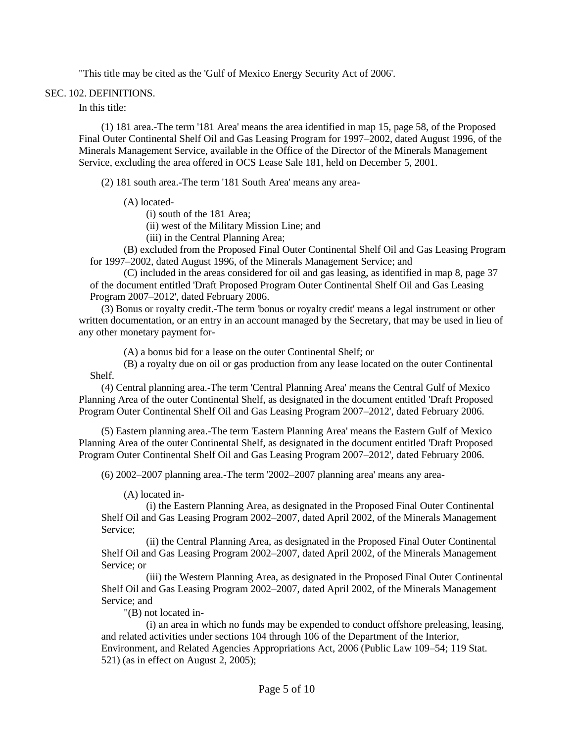"This title may be cited as the 'Gulf of Mexico Energy Security Act of 2006'.

#### SEC. 102. DEFINITIONS.

In this title:

(1) 181 area.-The term '181 Area' means the area identified in map 15, page 58, of the Proposed Final Outer Continental Shelf Oil and Gas Leasing Program for 1997–2002, dated August 1996, of the Minerals Management Service, available in the Office of the Director of the Minerals Management Service, excluding the area offered in OCS Lease Sale 181, held on December 5, 2001.

(2) 181 south area.-The term '181 South Area' means any area-

(A) located-

(i) south of the 181 Area;

(ii) west of the Military Mission Line; and

(iii) in the Central Planning Area;

(B) excluded from the Proposed Final Outer Continental Shelf Oil and Gas Leasing Program for 1997–2002, dated August 1996, of the Minerals Management Service; and

(C) included in the areas considered for oil and gas leasing, as identified in map 8, page 37 of the document entitled 'Draft Proposed Program Outer Continental Shelf Oil and Gas Leasing Program 2007–2012', dated February 2006.

(3) Bonus or royalty credit.-The term 'bonus or royalty credit' means a legal instrument or other written documentation, or an entry in an account managed by the Secretary, that may be used in lieu of any other monetary payment for-

(A) a bonus bid for a lease on the outer Continental Shelf; or

(B) a royalty due on oil or gas production from any lease located on the outer Continental Shelf.

(4) Central planning area.-The term 'Central Planning Area' means the Central Gulf of Mexico Planning Area of the outer Continental Shelf, as designated in the document entitled 'Draft Proposed Program Outer Continental Shelf Oil and Gas Leasing Program 2007–2012', dated February 2006.

(5) Eastern planning area.-The term 'Eastern Planning Area' means the Eastern Gulf of Mexico Planning Area of the outer Continental Shelf, as designated in the document entitled 'Draft Proposed Program Outer Continental Shelf Oil and Gas Leasing Program 2007–2012', dated February 2006.

(6) 2002–2007 planning area.-The term '2002–2007 planning area' means any area-

(A) located in-

(i) the Eastern Planning Area, as designated in the Proposed Final Outer Continental Shelf Oil and Gas Leasing Program 2002–2007, dated April 2002, of the Minerals Management Service;

(ii) the Central Planning Area, as designated in the Proposed Final Outer Continental Shelf Oil and Gas Leasing Program 2002–2007, dated April 2002, of the Minerals Management Service; or

(iii) the Western Planning Area, as designated in the Proposed Final Outer Continental Shelf Oil and Gas Leasing Program 2002–2007, dated April 2002, of the Minerals Management Service; and

"(B) not located in-

(i) an area in which no funds may be expended to conduct offshore preleasing, leasing, and related activities under sections 104 through 106 of the Department of the Interior, Environment, and Related Agencies Appropriations Act, 2006 (Public Law 109–54; 119 Stat. 521) (as in effect on August 2, 2005);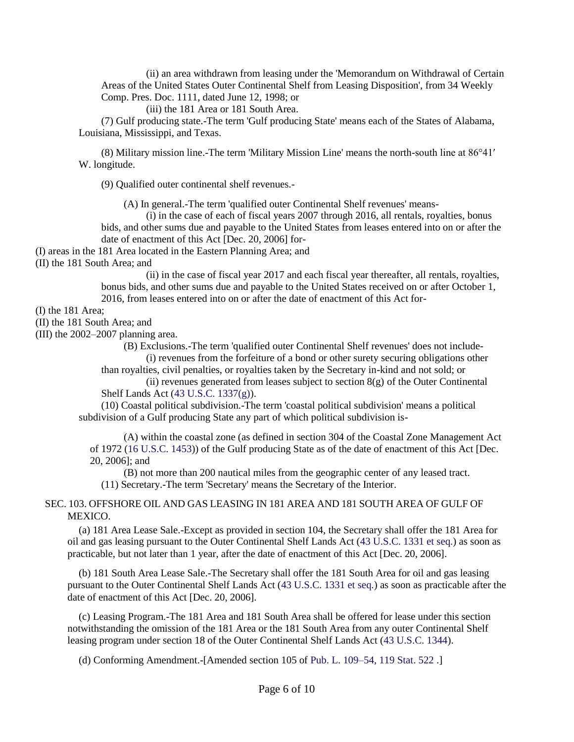(ii) an area withdrawn from leasing under the 'Memorandum on Withdrawal of Certain Areas of the United States Outer Continental Shelf from Leasing Disposition', from 34 Weekly Comp. Pres. Doc. 1111, dated June 12, 1998; or

(iii) the 181 Area or 181 South Area.

(7) Gulf producing state.-The term 'Gulf producing State' means each of the States of Alabama, Louisiana, Mississippi, and Texas.

(8) Military mission line.-The term 'Military Mission Line' means the north-south line at 86°41′ W. longitude.

(9) Qualified outer continental shelf revenues.-

(A) In general.-The term 'qualified outer Continental Shelf revenues' means-

(i) in the case of each of fiscal years 2007 through 2016, all rentals, royalties, bonus bids, and other sums due and payable to the United States from leases entered into on or after the date of enactment of this Act [Dec. 20, 2006] for-

(I) areas in the 181 Area located in the Eastern Planning Area; and

(II) the 181 South Area; and

(ii) in the case of fiscal year 2017 and each fiscal year thereafter, all rentals, royalties, bonus bids, and other sums due and payable to the United States received on or after October 1, 2016, from leases entered into on or after the date of enactment of this Act for-

(I) the 181 Area;

(II) the 181 South Area; and

(III) the 2002–2007 planning area.

(B) Exclusions.-The term 'qualified outer Continental Shelf revenues' does not include- (i) revenues from the forfeiture of a bond or other surety securing obligations other

than royalties, civil penalties, or royalties taken by the Secretary in-kind and not sold; or

(ii) revenues generated from leases subject to section  $8(g)$  of the Outer Continental Shelf Lands Act (43 U.S.C. 1337(g)).

(10) Coastal political subdivision.-The term 'coastal political subdivision' means a political subdivision of a Gulf producing State any part of which political subdivision is-

(A) within the coastal zone (as defined in section 304 of the Coastal Zone Management Act of 1972 (16 U.S.C. 1453)) of the Gulf producing State as of the date of enactment of this Act [Dec. 20, 2006]; and

(B) not more than 200 nautical miles from the geographic center of any leased tract. (11) Secretary.-The term 'Secretary' means the Secretary of the Interior.

### SEC. 103. OFFSHORE OIL AND GAS LEASING IN 181 AREA AND 181 SOUTH AREA OF GULF OF MEXICO.

(a) 181 Area Lease Sale.-Except as provided in section 104, the Secretary shall offer the 181 Area for oil and gas leasing pursuant to the Outer Continental Shelf Lands Act (43 U.S.C. 1331 et seq.) as soon as practicable, but not later than 1 year, after the date of enactment of this Act [Dec. 20, 2006].

(b) 181 South Area Lease Sale.-The Secretary shall offer the 181 South Area for oil and gas leasing pursuant to the Outer Continental Shelf Lands Act (43 U.S.C. 1331 et seq.) as soon as practicable after the date of enactment of this Act [Dec. 20, 2006].

(c) Leasing Program.-The 181 Area and 181 South Area shall be offered for lease under this section notwithstanding the omission of the 181 Area or the 181 South Area from any outer Continental Shelf leasing program under section 18 of the Outer Continental Shelf Lands Act (43 U.S.C. 1344).

(d) Conforming Amendment.-[Amended section 105 of [Pub. L. 109–54,](http://uscode.house.gov/statviewer.htm?volume=119&page=522) 119 Stat. 522 .]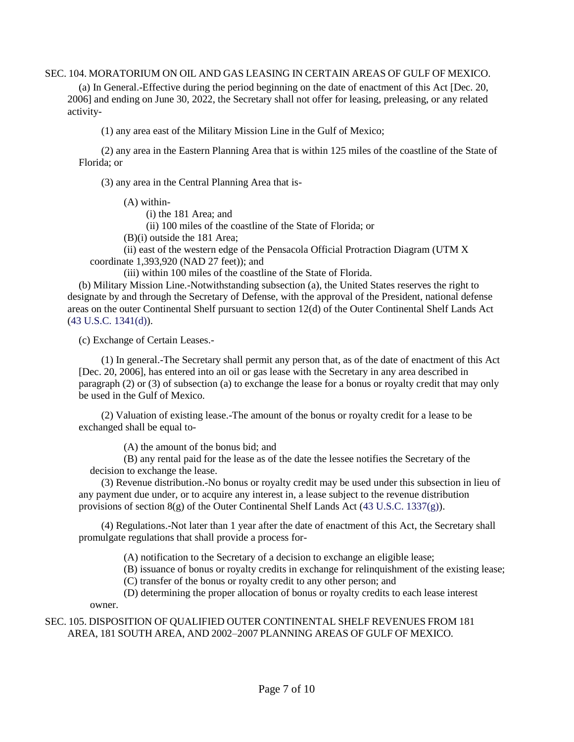#### SEC. 104. MORATORIUM ON OIL AND GAS LEASING IN CERTAIN AREAS OF GULF OF MEXICO.

(a) In General.-Effective during the period beginning on the date of enactment of this Act [Dec. 20, 2006] and ending on June 30, 2022, the Secretary shall not offer for leasing, preleasing, or any related activity-

(1) any area east of the Military Mission Line in the Gulf of Mexico;

(2) any area in the Eastern Planning Area that is within 125 miles of the coastline of the State of Florida; or

(3) any area in the Central Planning Area that is-

(A) within-

(i) the 181 Area; and

(ii) 100 miles of the coastline of the State of Florida; or

(B)(i) outside the 181 Area;

(ii) east of the western edge of the Pensacola Official Protraction Diagram (UTM X coordinate 1,393,920 (NAD 27 feet)); and

(iii) within 100 miles of the coastline of the State of Florida.

(b) Military Mission Line.-Notwithstanding subsection (a), the United States reserves the right to designate by and through the Secretary of Defense, with the approval of the President, national defense areas on the outer Continental Shelf pursuant to section 12(d) of the Outer Continental Shelf Lands Act (43 U.S.C. 1341(d)).

(c) Exchange of Certain Leases.-

(1) In general.-The Secretary shall permit any person that, as of the date of enactment of this Act [Dec. 20, 2006], has entered into an oil or gas lease with the Secretary in any area described in paragraph (2) or (3) of subsection (a) to exchange the lease for a bonus or royalty credit that may only be used in the Gulf of Mexico.

(2) Valuation of existing lease.-The amount of the bonus or royalty credit for a lease to be exchanged shall be equal to-

(A) the amount of the bonus bid; and

(B) any rental paid for the lease as of the date the lessee notifies the Secretary of the decision to exchange the lease.

(3) Revenue distribution.-No bonus or royalty credit may be used under this subsection in lieu of any payment due under, or to acquire any interest in, a lease subject to the revenue distribution provisions of section  $8(g)$  of the Outer Continental Shelf Lands Act (43 U.S.C. 1337(g)).

(4) Regulations.-Not later than 1 year after the date of enactment of this Act, the Secretary shall promulgate regulations that shall provide a process for-

(A) notification to the Secretary of a decision to exchange an eligible lease;

(B) issuance of bonus or royalty credits in exchange for relinquishment of the existing lease;

(C) transfer of the bonus or royalty credit to any other person; and

(D) determining the proper allocation of bonus or royalty credits to each lease interest owner.

### SEC. 105. DISPOSITION OF QUALIFIED OUTER CONTINENTAL SHELF REVENUES FROM 181 AREA, 181 SOUTH AREA, AND 2002–2007 PLANNING AREAS OF GULF OF MEXICO.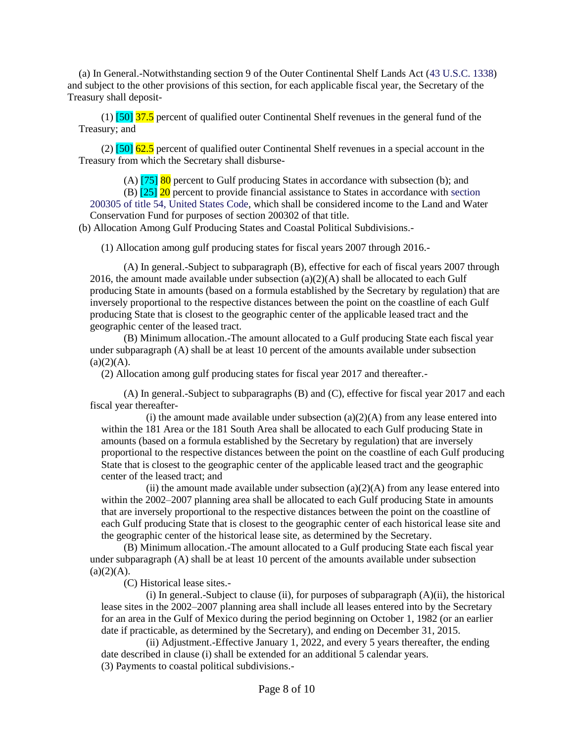(a) In General.-Notwithstanding section 9 of the Outer Continental Shelf Lands Act (43 U.S.C. 1338) and subject to the other provisions of this section, for each applicable fiscal year, the Secretary of the Treasury shall deposit-

(1)  $\left[50\right]$  37.5 percent of qualified outer Continental Shelf revenues in the general fund of the Treasury; and

(2)  $\left[50\right]$  62.5 percent of qualified outer Continental Shelf revenues in a special account in the Treasury from which the Secretary shall disburse-

(A)  $[75]$  80 percent to Gulf producing States in accordance with subsection (b); and

(B) [25] 20 percent to provide financial assistance to States in accordance with section 200305 of title 54, United States Code, which shall be considered income to the Land and Water Conservation Fund for purposes of section 200302 of that title.

(b) Allocation Among Gulf Producing States and Coastal Political Subdivisions.-

(1) Allocation among gulf producing states for fiscal years 2007 through 2016.-

(A) In general.-Subject to subparagraph (B), effective for each of fiscal years 2007 through 2016, the amount made available under subsection  $(a)(2)(A)$  shall be allocated to each Gulf producing State in amounts (based on a formula established by the Secretary by regulation) that are inversely proportional to the respective distances between the point on the coastline of each Gulf producing State that is closest to the geographic center of the applicable leased tract and the geographic center of the leased tract.

(B) Minimum allocation.-The amount allocated to a Gulf producing State each fiscal year under subparagraph (A) shall be at least 10 percent of the amounts available under subsection  $(a)(2)(A)$ .

(2) Allocation among gulf producing states for fiscal year 2017 and thereafter.-

(A) In general.-Subject to subparagraphs (B) and (C), effective for fiscal year 2017 and each fiscal year thereafter-

(i) the amount made available under subsection  $(a)(2)(A)$  from any lease entered into within the 181 Area or the 181 South Area shall be allocated to each Gulf producing State in amounts (based on a formula established by the Secretary by regulation) that are inversely proportional to the respective distances between the point on the coastline of each Gulf producing State that is closest to the geographic center of the applicable leased tract and the geographic center of the leased tract; and

(ii) the amount made available under subsection  $(a)(2)(A)$  from any lease entered into within the 2002–2007 planning area shall be allocated to each Gulf producing State in amounts that are inversely proportional to the respective distances between the point on the coastline of each Gulf producing State that is closest to the geographic center of each historical lease site and the geographic center of the historical lease site, as determined by the Secretary.

(B) Minimum allocation.-The amount allocated to a Gulf producing State each fiscal year under subparagraph (A) shall be at least 10 percent of the amounts available under subsection  $(a)(2)(A).$ 

(C) Historical lease sites.-

(i) In general.-Subject to clause (ii), for purposes of subparagraph (A)(ii), the historical lease sites in the 2002–2007 planning area shall include all leases entered into by the Secretary for an area in the Gulf of Mexico during the period beginning on October 1, 1982 (or an earlier date if practicable, as determined by the Secretary), and ending on December 31, 2015.

(ii) Adjustment.-Effective January 1, 2022, and every 5 years thereafter, the ending date described in clause (i) shall be extended for an additional 5 calendar years. (3) Payments to coastal political subdivisions.-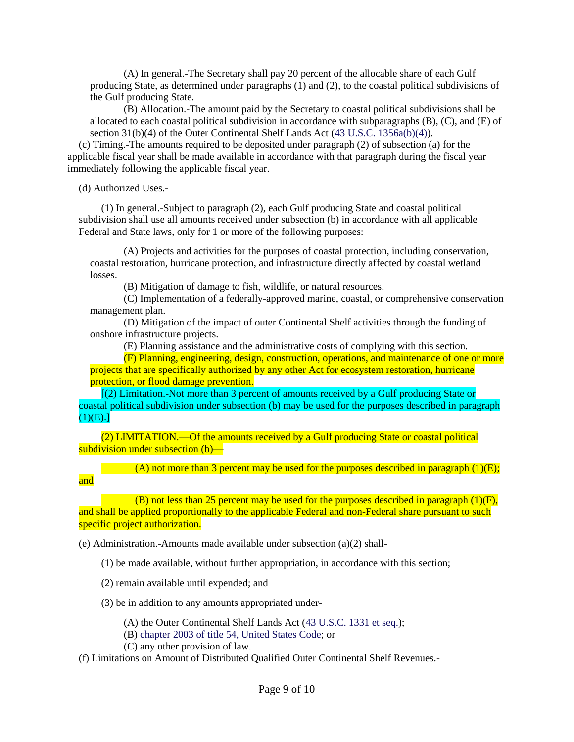(A) In general.-The Secretary shall pay 20 percent of the allocable share of each Gulf producing State, as determined under paragraphs (1) and (2), to the coastal political subdivisions of the Gulf producing State.

(B) Allocation.-The amount paid by the Secretary to coastal political subdivisions shall be allocated to each coastal political subdivision in accordance with subparagraphs (B), (C), and (E) of section 31(b)(4) of the Outer Continental Shelf Lands Act (43 U.S.C. 1356a(b)(4)).

(c) Timing.-The amounts required to be deposited under paragraph (2) of subsection (a) for the applicable fiscal year shall be made available in accordance with that paragraph during the fiscal year immediately following the applicable fiscal year.

(d) Authorized Uses.-

and

(1) In general.-Subject to paragraph (2), each Gulf producing State and coastal political subdivision shall use all amounts received under subsection (b) in accordance with all applicable Federal and State laws, only for 1 or more of the following purposes:

(A) Projects and activities for the purposes of coastal protection, including conservation, coastal restoration, hurricane protection, and infrastructure directly affected by coastal wetland losses.

(B) Mitigation of damage to fish, wildlife, or natural resources.

(C) Implementation of a federally-approved marine, coastal, or comprehensive conservation management plan.

(D) Mitigation of the impact of outer Continental Shelf activities through the funding of onshore infrastructure projects.

(E) Planning assistance and the administrative costs of complying with this section.

(F) Planning, engineering, design, construction, operations, and maintenance of one or more projects that are specifically authorized by any other Act for ecosystem restoration, hurricane protection, or flood damage prevention.

[(2) Limitation.-Not more than 3 percent of amounts received by a Gulf producing State or coastal political subdivision under subsection (b) may be used for the purposes described in paragraph  $(1)(E).$ 

(2) LIMITATION.—Of the amounts received by a Gulf producing State or coastal political subdivision under subsection (b)—

(A) not more than 3 percent may be used for the purposes described in paragraph  $(1)(E)$ ;

(B) not less than 25 percent may be used for the purposes described in paragraph  $(1)(F)$ , and shall be applied proportionally to the applicable Federal and non-Federal share pursuant to such specific project authorization.

(e) Administration.-Amounts made available under subsection (a)(2) shall-

(1) be made available, without further appropriation, in accordance with this section;

(2) remain available until expended; and

(3) be in addition to any amounts appropriated under-

(A) the Outer Continental Shelf Lands Act (43 U.S.C. 1331 et seq.);

(B) chapter 2003 of title 54, United States Code; or

(C) any other provision of law.

(f) Limitations on Amount of Distributed Qualified Outer Continental Shelf Revenues.-